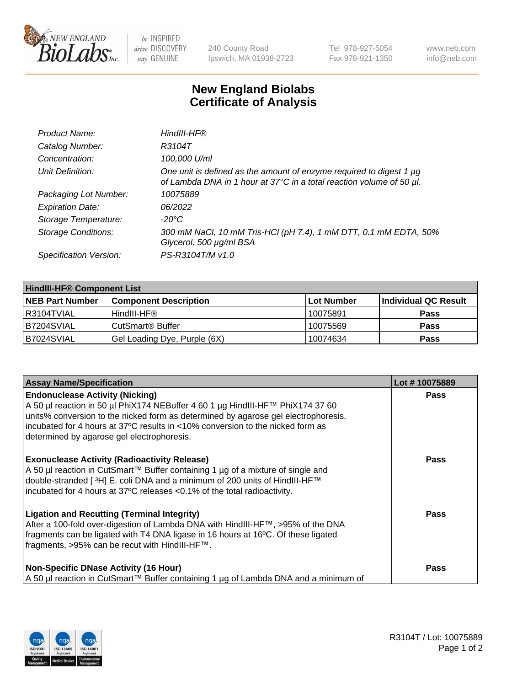

 $be$  INSPIRED drive DISCOVERY stay GENUINE

240 County Road Ipswich, MA 01938-2723 Tel 978-927-5054 Fax 978-921-1350 www.neb.com info@neb.com

## **New England Biolabs Certificate of Analysis**

| Product Name:              | HindIII-HF®                                                                                                                                 |
|----------------------------|---------------------------------------------------------------------------------------------------------------------------------------------|
| Catalog Number:            | R3104T                                                                                                                                      |
| Concentration:             | 100,000 U/ml                                                                                                                                |
| Unit Definition:           | One unit is defined as the amount of enzyme required to digest 1 µg<br>of Lambda DNA in 1 hour at 37°C in a total reaction volume of 50 µl. |
| Packaging Lot Number:      | 10075889                                                                                                                                    |
| <b>Expiration Date:</b>    | 06/2022                                                                                                                                     |
| Storage Temperature:       | $-20^{\circ}$ C                                                                                                                             |
| <b>Storage Conditions:</b> | 300 mM NaCl, 10 mM Tris-HCl (pH 7.4), 1 mM DTT, 0.1 mM EDTA, 50%<br>Glycerol, 500 µg/ml BSA                                                 |
| Specification Version:     | PS-R3104T/M v1.0                                                                                                                            |

| <b>HindIII-HF® Component List</b> |                                    |                   |                      |  |  |
|-----------------------------------|------------------------------------|-------------------|----------------------|--|--|
| <b>NEB Part Number</b>            | <b>Component Description</b>       | <b>Lot Number</b> | Individual QC Result |  |  |
| I R3104TVIAL                      | HindIII-HF®                        | 10075891          | <b>Pass</b>          |  |  |
| B7204SVIAL                        | <b>CutSmart<sup>®</sup> Buffer</b> | 10075569          | <b>Pass</b>          |  |  |
| B7024SVIAL                        | Gel Loading Dye, Purple (6X)       | 10074634          | <b>Pass</b>          |  |  |

| <b>Assay Name/Specification</b>                                                                                                                                                                                                                                                                                                                | Lot #10075889 |
|------------------------------------------------------------------------------------------------------------------------------------------------------------------------------------------------------------------------------------------------------------------------------------------------------------------------------------------------|---------------|
| <b>Endonuclease Activity (Nicking)</b><br>A 50 µl reaction in 50 µl PhiX174 NEBuffer 4 60 1 µg HindIII-HF™ PhiX174 37 60<br>units% conversion to the nicked form as determined by agarose gel electrophoresis.<br>incubated for 4 hours at 37°C results in <10% conversion to the nicked form as<br>determined by agarose gel electrophoresis. | <b>Pass</b>   |
| <b>Exonuclease Activity (Radioactivity Release)</b><br>A 50 µl reaction in CutSmart™ Buffer containing 1 µg of a mixture of single and<br>double-stranded [3H] E. coli DNA and a minimum of 200 units of HindIII-HF™<br>incubated for 4 hours at 37°C releases <0.1% of the total radioactivity.                                               | Pass          |
| <b>Ligation and Recutting (Terminal Integrity)</b><br>After a 100-fold over-digestion of Lambda DNA with HindIII-HF™, >95% of the DNA<br>fragments can be ligated with T4 DNA ligase in 16 hours at 16°C. Of these ligated<br>fragments, >95% can be recut with HindIII-HF™.                                                                   | <b>Pass</b>   |
| <b>Non-Specific DNase Activity (16 Hour)</b><br>A 50 µl reaction in CutSmart™ Buffer containing 1 µg of Lambda DNA and a minimum of                                                                                                                                                                                                            | Pass          |